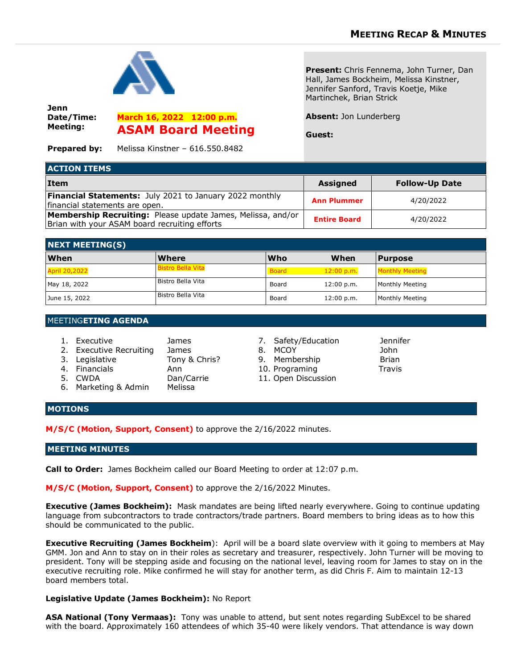

**Jenn Date/Time: Meeting:**

**March 16, 2022 12:00 p.m. ASAM Board Meeting**

**Present:** Chris Fennema, John Turner, Dan Hall, James Bockheim, Melissa Kinstner, Jennifer Sanford, Travis Koetje, Mike Martinchek, Brian Strick

### **Absent:** Jon Lunderberg

**Guest:**

**Prepared by:** Melissa Kinstner – 616.550.8482

| <b>ACTION ITEMS</b>                                                                                                 |                     |                       |  |  |
|---------------------------------------------------------------------------------------------------------------------|---------------------|-----------------------|--|--|
| <b>Item</b>                                                                                                         | <b>Assigned</b>     | <b>Follow-Up Date</b> |  |  |
| <b>Financial Statements:</b> July 2021 to January 2022 monthly<br>financial statements are open.                    | <b>Ann Plummer</b>  | 4/20/2022             |  |  |
| <b>Membership Recruiting:</b> Please update James, Melissa, and/or<br>Brian with your ASAM board recruiting efforts | <b>Entire Board</b> | 4/20/2022             |  |  |

| <b>NEXT MEETING(S)</b> |                          |              |            |                        |  |  |  |
|------------------------|--------------------------|--------------|------------|------------------------|--|--|--|
| <b>When</b>            | <b>Where</b>             | <b>Who</b>   | When       | <b>Purpose</b>         |  |  |  |
| <b>April 20,2022</b>   | <b>Bistro Bella Vita</b> | <b>Board</b> | 12:00 p.m. | <b>Monthly Meeting</b> |  |  |  |
| May 18, 2022           | Bistro Bella Vita        | Board        | 12:00 p.m. | Monthly Meeting        |  |  |  |
| June 15, 2022          | Bistro Bella Vita        | Board        | 12:00 p.m. | Monthly Meeting        |  |  |  |

## MEETING**ETING AGENDA**

| 1. Executive            | James         | 7. Safety/Education | Jenn         |
|-------------------------|---------------|---------------------|--------------|
| 2. Executive Recruiting | James         | 8. MCOY             | John         |
| 3. Legislative          | Tony & Chris? | 9. Membership       | <b>Briar</b> |
| 4. Financials           | Ann           | 10. Programing      | Travi        |
| 5. CWDA                 | Dan/Carrie    | 11. Open Discussion |              |
| 6. Marketing & Admin    | Melissa       |                     |              |

- 7. Safety/Education Jennifer
- 
- 9. Membership Brian
- 10. Programing Travis
- 11. Open Discussion
	-

# **MOTIONS**

**M/S/C (Motion, Support, Consent)** to approve the 2/16/2022 minutes.

### **MEETING MINUTES**

**Call to Order:** James Bockheim called our Board Meeting to order at 12:07 p.m.

**M/S/C (Motion, Support, Consent)** to approve the 2/16/2022 Minutes.

**Executive (James Bockheim):** Mask mandates are being lifted nearly everywhere. Going to continue updating language from subcontractors to trade contractors/trade partners. Board members to bring ideas as to how this should be communicated to the public.

**Executive Recruiting (James Bockheim**): April will be a board slate overview with it going to members at May GMM. Jon and Ann to stay on in their roles as secretary and treasurer, respectively. John Turner will be moving to president. Tony will be stepping aside and focusing on the national level, leaving room for James to stay on in the executive recruiting role. Mike confirmed he will stay for another term, as did Chris F. Aim to maintain 12-13 board members total.

## **Legislative Update (James Bockheim):** No Report

**ASA National (Tony Vermaas):** Tony was unable to attend, but sent notes regarding SubExcel to be shared with the board. Approximately 160 attendees of which 35-40 were likely vendors. That attendance is way down